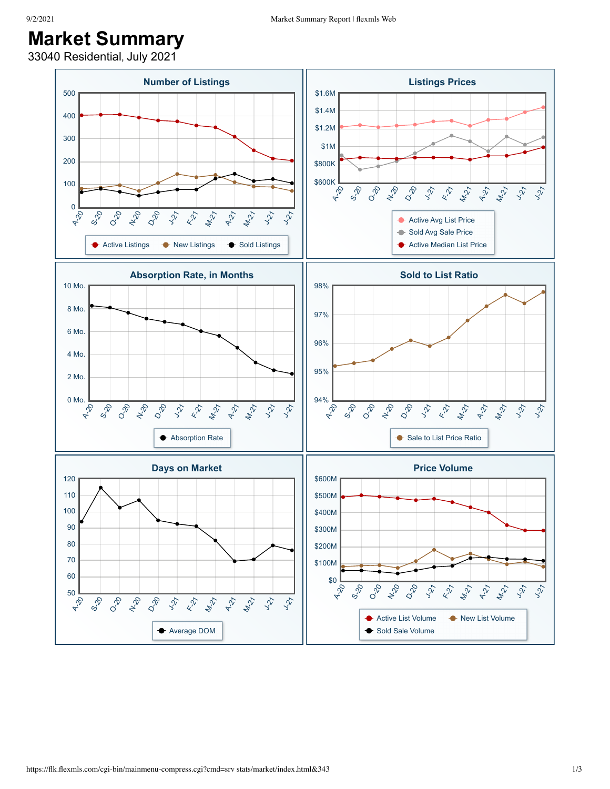33040 Residential, July 2021

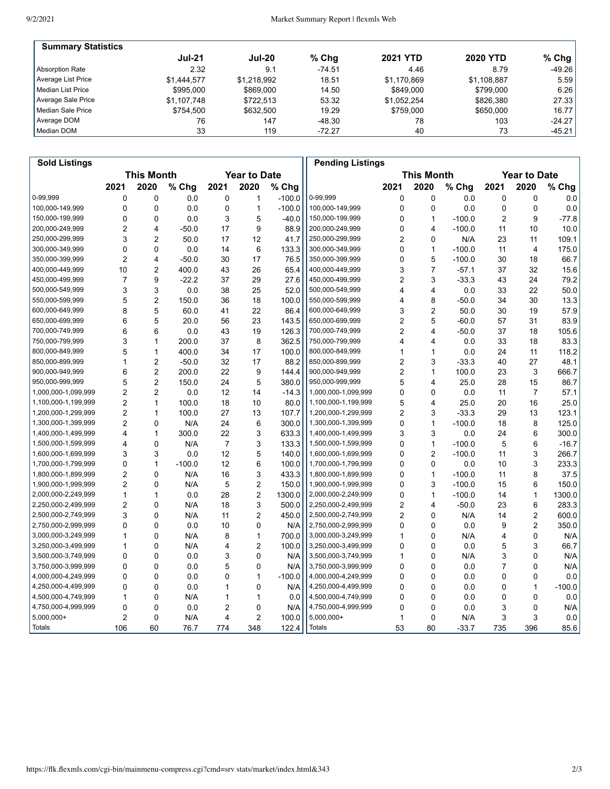| <b>Summary Statistics</b> |               |               |          |                 |                 |           |
|---------------------------|---------------|---------------|----------|-----------------|-----------------|-----------|
|                           | <b>Jul-21</b> | <b>Jul-20</b> | $%$ Chg  | <b>2021 YTD</b> | <b>2020 YTD</b> | % Chg $ $ |
| Absorption Rate           | 2.32          | 9.1           | $-74.51$ | 4.46            | 8.79            | $-49.26$  |
| Average List Price        | \$1.444.577   | \$1.218.992   | 18.51    | \$1.170.869     | \$1,108,887     | 5.59      |
| Median List Price         | \$995,000     | \$869,000     | 14.50    | \$849,000       | \$799,000       | 6.26      |
| Average Sale Price        | \$1,107,748   | \$722.513     | 53.32    | \$1,052,254     | \$826,380       | 27.33     |
| Median Sale Price         | \$754.500     | \$632,500     | 19.29    | \$759,000       | \$650,000       | 16.77     |
| Average DOM               | 76            | 147           | $-48.30$ | 78              | 103             | $-24.27$  |
| Median DOM                | 33            | 119           | $-72.27$ | 40              | 73              | $-45.21$  |

| <b>Sold Listings</b> |                                          |                |          |                |                |                                          | <b>Pending Listings</b> |                |                |          |      |                         |          |
|----------------------|------------------------------------------|----------------|----------|----------------|----------------|------------------------------------------|-------------------------|----------------|----------------|----------|------|-------------------------|----------|
|                      | <b>This Month</b><br><b>Year to Date</b> |                |          |                |                | <b>This Month</b><br><b>Year to Date</b> |                         |                |                |          |      |                         |          |
|                      | 2021                                     | 2020           | % Chg    | 2021           | 2020           | % Chg                                    |                         | 2021           | 2020           | % Chg    | 2021 | 2020                    | % Chg    |
| 0-99,999             | 0                                        | 0              | 0.0      | $\mathbf 0$    | 1              | $-100.0$                                 | 0-99,999                | 0              | $\mathbf 0$    | 0.0      | 0    | 0                       | 0.0      |
| 100,000-149,999      | 0                                        | 0              | 0.0      | 0              | $\mathbf{1}$   | $-100.0$                                 | 100,000-149,999         | 0              | $\mathbf 0$    | 0.0      | 0    | 0                       | 0.0      |
| 150,000-199,999      | 0                                        | $\mathbf{0}$   | 0.0      | 3              | 5              | $-40.0$                                  | 150,000-199,999         | 0              | $\mathbf{1}$   | $-100.0$ | 2    | 9                       | $-77.8$  |
| 200,000-249,999      | 2                                        | 4              | $-50.0$  | 17             | 9              | 88.9                                     | 200,000-249,999         | 0              | 4              | $-100.0$ | 11   | 10                      | 10.0     |
| 250,000-299,999      | 3                                        | $\overline{2}$ | 50.0     | 17             | 12             | 41.7                                     | 250,000-299,999         | 2              | 0              | N/A      | 23   | 11                      | 109.1    |
| 300,000-349,999      | $\mathbf 0$                              | $\mathbf{0}$   | 0.0      | 14             | 6              | 133.3                                    | 300,000-349,999         | 0              | 1              | $-100.0$ | 11   | 4                       | 175.0    |
| 350,000-399,999      | $\overline{2}$                           | 4              | $-50.0$  | 30             | 17             | 76.5                                     | 350,000-399,999         | 0              | 5              | $-100.0$ | 30   | 18                      | 66.7     |
| 400,000-449,999      | 10                                       | $\overline{2}$ | 400.0    | 43             | 26             | 65.4                                     | 400,000-449,999         | 3              | $\overline{7}$ | $-57.1$  | 37   | 32                      | 15.6     |
| 450,000-499,999      | 7                                        | 9              | $-22.2$  | 37             | 29             | 27.6                                     | 450,000-499,999         | 2              | 3              | $-33.3$  | 43   | 24                      | 79.2     |
| 500,000-549,999      | 3                                        | 3              | 0.0      | 38             | 25             | 52.0                                     | 500,000-549,999         | 4              | 4              | 0.0      | 33   | 22                      | 50.0     |
| 550,000-599,999      | 5                                        | $\overline{c}$ | 150.0    | 36             | 18             | 100.0                                    | 550,000-599,999         | 4              | 8              | $-50.0$  | 34   | 30                      | 13.3     |
| 600,000-649,999      | 8                                        | 5              | 60.0     | 41             | 22             | 86.4                                     | 600,000-649,999         | 3              | 2              | 50.0     | 30   | 19                      | 57.9     |
| 650,000-699,999      | 6                                        | 5              | 20.0     | 56             | 23             | 143.5                                    | 650,000-699,999         | $\overline{2}$ | 5              | $-60.0$  | 57   | 31                      | 83.9     |
| 700,000-749,999      | 6                                        | 6              | 0.0      | 43             | 19             | 126.3                                    | 700,000-749,999         | 2              | 4              | $-50.0$  | 37   | 18                      | 105.6    |
| 750,000-799,999      | 3                                        | 1              | 200.0    | 37             | 8              | 362.5                                    | 750,000-799,999         | 4              | 4              | 0.0      | 33   | 18                      | 83.3     |
| 800,000-849,999      | 5                                        | 1              | 400.0    | 34             | 17             | 100.0                                    | 800,000-849,999         | 1              | 1              | 0.0      | 24   | 11                      | 118.2    |
| 850,000-899,999      | 1                                        | $\overline{2}$ | $-50.0$  | 32             | 17             | 88.2                                     | 850,000-899,999         | $\overline{2}$ | 3              | $-33.3$  | 40   | 27                      | 48.1     |
| 900,000-949,999      | 6                                        | $\overline{2}$ | 200.0    | 22             | 9              | 144.4                                    | 900,000-949,999         | $\overline{2}$ | 1              | 100.0    | 23   | 3                       | 666.7    |
| 950,000-999,999      | 5                                        | 2              | 150.0    | 24             | 5              | 380.0                                    | 950,000-999,999         | 5              | 4              | 25.0     | 28   | 15                      | 86.7     |
| 1,000,000-1,099,999  | $\overline{2}$                           | $\overline{2}$ | 0.0      | 12             | 14             | $-14.3$                                  | 1,000,000-1,099,999     | 0              | $\mathbf 0$    | 0.0      | 11   | $\overline{7}$          | 57.1     |
| 1,100,000-1,199,999  | $\overline{c}$                           | 1              | 100.0    | 18             | 10             | 80.0                                     | 1,100,000-1,199,999     | 5              | $\overline{4}$ | 25.0     | 20   | 16                      | 25.0     |
| 1,200,000-1,299,999  | 2                                        | 1              | 100.0    | 27             | 13             | 107.7                                    | 1,200,000-1,299,999     | $\overline{2}$ | 3              | $-33.3$  | 29   | 13                      | 123.1    |
| 1,300,000-1,399,999  | $\overline{2}$                           | 0              | N/A      | 24             | 6              | 300.0                                    | 1,300,000-1,399,999     | 0              | 1              | $-100.0$ | 18   | 8                       | 125.0    |
| 1,400,000-1,499,999  | 4                                        | 1              | 300.0    | 22             | 3              | 633.3                                    | 1,400,000-1,499,999     | 3              | 3              | 0.0      | 24   | 6                       | 300.0    |
| 1,500,000-1,599,999  | 4                                        | 0              | N/A      | $\overline{7}$ | 3              | 133.3                                    | 1,500,000-1,599,999     | 0              | 1              | $-100.0$ | 5    | 6                       | $-16.7$  |
| 1,600,000-1,699,999  | 3                                        | 3              | 0.0      | 12             | 5              | 140.0                                    | 1,600,000-1,699,999     | 0              | $\overline{2}$ | $-100.0$ | 11   | 3                       | 266.7    |
| 1,700,000-1,799,999  | 0                                        | 1              | $-100.0$ | 12             | 6              | 100.0                                    | 1,700,000-1,799,999     | 0              | 0              | 0.0      | 10   | 3                       | 233.3    |
| 1,800,000-1,899,999  | $\overline{2}$                           | 0              | N/A      | 16             | 3              | 433.3                                    | 1,800,000-1,899,999     | 0              | 1              | $-100.0$ | 11   | 8                       | 37.5     |
| 1,900,000-1,999,999  | $\overline{2}$                           | 0              | N/A      | 5              | $\overline{2}$ | 150.0                                    | 1,900,000-1,999,999     | 0              | 3              | $-100.0$ | 15   | 6                       | 150.0    |
| 2,000,000-2,249,999  | 1                                        | 1              | 0.0      | 28             | $\overline{2}$ | 1300.0                                   | 2,000,000-2,249,999     | 0              | 1              | $-100.0$ | 14   | $\mathbf{1}$            | 1300.0   |
| 2,250,000-2,499,999  | 2                                        | 0              | N/A      | 18             | 3              | 500.0                                    | 2,250,000-2,499,999     | 2              | 4              | $-50.0$  | 23   | 6                       | 283.3    |
| 2,500,000-2,749,999  | 3                                        | 0              | N/A      | 11             | $\overline{2}$ | 450.0                                    | 2,500,000-2,749,999     | 2              | $\mathbf 0$    | N/A      | 14   | $\overline{\mathbf{c}}$ | 600.0    |
| 2,750,000-2,999,999  | 0                                        | $\mathbf{0}$   | 0.0      | 10             | $\mathbf{0}$   | N/A                                      | 2,750,000-2,999,999     | 0              | $\mathbf{0}$   | 0.0      | 9    | $\overline{2}$          | 350.0    |
| 3,000,000-3,249,999  | 1                                        | 0              | N/A      | 8              | $\mathbf{1}$   | 700.0                                    | 3,000,000-3,249,999     | 1              | $\mathbf 0$    | N/A      | 4    | 0                       | N/A      |
| 3,250,000-3,499,999  | 1                                        | 0              | N/A      | 4              | $\overline{2}$ | 100.0                                    | 3,250,000-3,499,999     | 0              | $\mathbf 0$    | 0.0      | 5    | 3                       | 66.7     |
| 3,500,000-3,749,999  | 0                                        | 0              | 0.0      | 3              | 0              | N/A                                      | 3,500,000-3,749,999     | 1              | $\mathbf{0}$   | N/A      | 3    | 0                       | N/A      |
| 3,750,000-3,999,999  | 0                                        | 0              | 0.0      | 5              | 0              | N/A                                      | 3,750,000-3,999,999     | 0              | $\mathbf 0$    | 0.0      | 7    | 0                       | N/A      |
| 4,000,000-4,249,999  | 0                                        | 0              | 0.0      | 0              | $\mathbf{1}$   | $-100.0$                                 | 4,000,000-4,249,999     | 0              | $\mathbf 0$    | 0.0      | 0    | 0                       | 0.0      |
| 4,250,000-4,499,999  | 0                                        | 0              | 0.0      | 1              | 0              | N/A                                      | 4,250,000-4,499,999     | 0              | $\mathbf{0}$   | 0.0      | 0    | $\mathbf{1}$            | $-100.0$ |
| 4,500,000-4,749,999  | 1                                        | 0              | N/A      | 1              | $\mathbf{1}$   | 0.0                                      | 4,500,000-4,749,999     | 0              | $\mathbf 0$    | 0.0      | 0    | 0                       | 0.0      |
| 4,750,000-4,999,999  | 0                                        | 0              | 0.0      | $\overline{2}$ | 0              | N/A                                      | 4,750,000-4,999,999     | 0              | $\Omega$       | 0.0      | 3    | 0                       | N/A      |
| 5,000,000+           | 2                                        | 0              | N/A      | 4              | $\overline{2}$ | 100.0                                    | 5,000,000+              | 1              | 0              | N/A      | 3    | 3                       | 0.0      |
| Totals               | 106                                      | 60             | 76.7     | 774            | 348            | 122.4                                    | <b>Totals</b>           | 53             | 80             | $-33.7$  | 735  | 396                     | 85.6     |